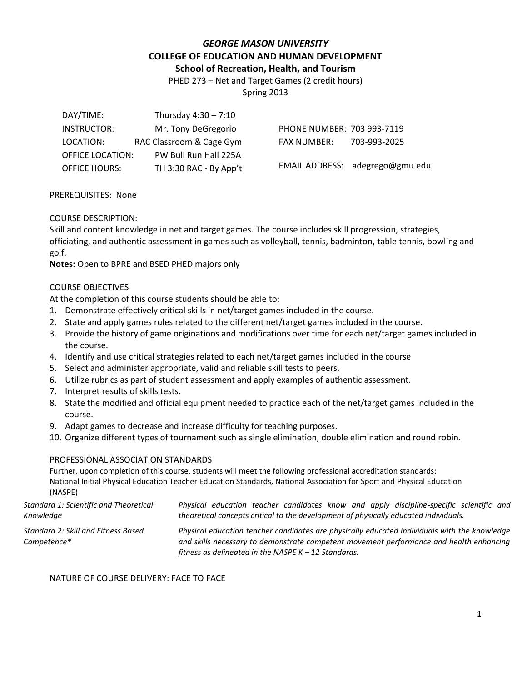## *GEORGE MASON UNIVERSITY* **COLLEGE OF EDUCATION AND HUMAN DEVELOPMENT School of Recreation, Health, and Tourism**

PHED 273 – Net and Target Games (2 credit hours)

Spring 2013

| DAY/TIME:               | Thursday $4:30 - 7:10$   |                            |                                 |
|-------------------------|--------------------------|----------------------------|---------------------------------|
| INSTRUCTOR:             | Mr. Tony DeGregorio      | PHONE NUMBER: 703 993-7119 |                                 |
| LOCATION:               | RAC Classroom & Cage Gym | FAX NUMBER:                | 703-993-2025                    |
| <b>OFFICE LOCATION:</b> | PW Bull Run Hall 225A    |                            |                                 |
| <b>OFFICE HOURS:</b>    | TH 3:30 RAC - By App't   |                            | EMAIL ADDRESS: adegrego@gmu.edu |
|                         |                          |                            |                                 |

### PREREQUISITES: None

### COURSE DESCRIPTION:

Skill and content knowledge in net and target games. The course includes skill progression, strategies, officiating, and authentic assessment in games such as volleyball, tennis, badminton, table tennis, bowling and golf.

**Notes:** Open to BPRE and BSED PHED majors only

### COURSE OBJECTIVES

At the completion of this course students should be able to:

- 1. Demonstrate effectively critical skills in net/target games included in the course.
- 2. State and apply games rules related to the different net/target games included in the course.
- 3. Provide the history of game originations and modifications over time for each net/target games included in the course.
- 4. Identify and use critical strategies related to each net/target games included in the course
- 5. Select and administer appropriate, valid and reliable skill tests to peers.
- 6. Utilize rubrics as part of student assessment and apply examples of authentic assessment.
- 7. Interpret results of skills tests.
- 8. State the modified and official equipment needed to practice each of the net/target games included in the course.
- 9. Adapt games to decrease and increase difficulty for teaching purposes.
- 10. Organize different types of tournament such as single elimination, double elimination and round robin.

#### PROFESSIONAL ASSOCIATION STANDARDS

Further, upon completion of this course, students will meet the following professional accreditation standards: National Initial Physical Education Teacher Education Standards, National Association for Sport and Physical Education (NASPE)

*Standard 1: Scientific and Theoretical Knowledge Physical education teacher candidates know and apply discipline-specific scientific and theoretical concepts critical to the development of physically educated individuals. Standard 2: Skill and Fitness Based Competence\* Physical education teacher candidates are physically educated individuals with the knowledge and skills necessary to demonstrate competent movement performance and health enhancing* 

*fitness as delineated in the NASPE K – 12 Standards.*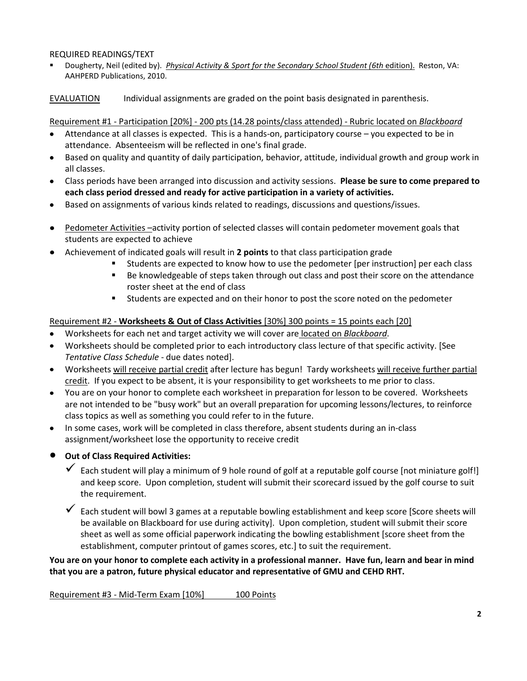### REQUIRED READINGS/TEXT

 Dougherty, Neil (edited by). *Physical Activity & Sport for the Secondary School Student (6th* edition). Reston, VA: AAHPERD Publications, 2010.

EVALUATION Individual assignments are graded on the point basis designated in parenthesis.

Requirement #1 - Participation [20%] - 200 pts (14.28 points/class attended) - Rubric located on *Blackboard*

- Attendance at all classes is expected. This is a hands-on, participatory course you expected to be in attendance. Absenteeism will be reflected in one's final grade.
- Based on quality and quantity of daily participation, behavior, attitude, individual growth and group work in all classes.
- Class periods have been arranged into discussion and activity sessions. **Please be sure to come prepared to each class period dressed and ready for active participation in a variety of activities.**
- Based on assignments of various kinds related to readings, discussions and questions/issues.  $\bullet$
- Pedometer Activities –activity portion of selected classes will contain pedometer movement goals that students are expected to achieve
- Achievement of indicated goals will result in **2 points** to that class participation grade
	- Students are expected to know how to use the pedometer [per instruction] per each class
		- Be knowledgeable of steps taken through out class and post their score on the attendance roster sheet at the end of class
		- Students are expected and on their honor to post the score noted on the pedometer

# Requirement #2 - **Worksheets & Out of Class Activities** [30%] 300 points = 15 points each [20]

- Worksheets for each net and target activity we will cover are located on *Blackboard*.
- Worksheets should be completed prior to each introductory class lecture of that specific activity. [See *Tentative Class Schedule* - due dates noted].
- Worksheets will receive partial credit after lecture has begun! Tardy worksheets will receive further partial credit. If you expect to be absent, it is your responsibility to get worksheets to me prior to class.
- You are on your honor to complete each worksheet in preparation for lesson to be covered. Worksheets are not intended to be "busy work" but an overall preparation for upcoming lessons/lectures, to reinforce class topics as well as something you could refer to in the future.
- In some cases, work will be completed in class therefore, absent students during an in-class assignment/worksheet lose the opportunity to receive credit

# **Out of Class Required Activities:**

- $\checkmark$  Each student will play a minimum of 9 hole round of golf at a reputable golf course [not miniature golf!] and keep score. Upon completion, student will submit their scorecard issued by the golf course to suit the requirement.
- $\checkmark$  Each student will bowl 3 games at a reputable bowling establishment and keep score [Score sheets will be available on Blackboard for use during activity]. Upon completion, student will submit their score sheet as well as some official paperwork indicating the bowling establishment [score sheet from the establishment, computer printout of games scores, etc.] to suit the requirement.

**You are on your honor to complete each activity in a professional manner. Have fun, learn and bear in mind that you are a patron, future physical educator and representative of GMU and CEHD RHT.**

Requirement #3 - Mid-Term Exam [10%] 100 Points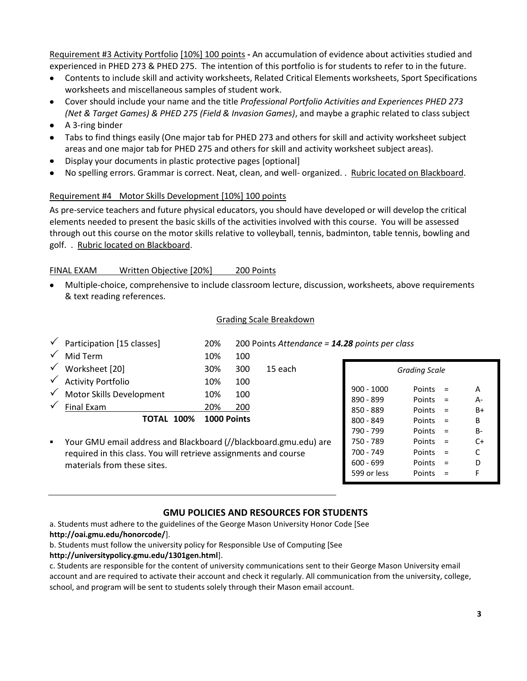Requirement #3 Activity Portfolio [10%] 100 points **-** An accumulation of evidence about activities studied and experienced in PHED 273 & PHED 275. The intention of this portfolio is for students to refer to in the future.

- Contents to include skill and activity worksheets, Related Critical Elements worksheets, Sport Specifications  $\bullet$ worksheets and miscellaneous samples of student work.
- Cover should include your name and the title *Professional Portfolio Activities and Experiences PHED 273 (Net & Target Games) & PHED 275 (Field & Invasion Games)*, and maybe a graphic related to class subject
- A 3-ring binder
- Tabs to find things easily (One major tab for PHED 273 and others for skill and activity worksheet subject areas and one major tab for PHED 275 and others for skill and activity worksheet subject areas).
- Display your documents in plastic protective pages [optional]
- No spelling errors. Grammar is correct. Neat, clean, and well- organized. . Rubric located on Blackboard.

## Requirement #4 Motor Skills Development [10%] 100 points

As pre-service teachers and future physical educators, you should have developed or will develop the critical elements needed to present the basic skills of the activities involved with this course. You will be assessed through out this course on the motor skills relative to volleyball, tennis, badminton, table tennis, bowling and golf. . Rubric located on Blackboard.

## FINAL EXAM Written Objective [20%] 200 Points

Multiple-choice, comprehensive to include classroom lecture, discussion, worksheets, above requirements & text reading references.

## Grading Scale Breakdown

|              | Participation [15 classes]                                       | 20%         |     | 200 Points Attendance = 14.28 points per class |              |               |     |       |
|--------------|------------------------------------------------------------------|-------------|-----|------------------------------------------------|--------------|---------------|-----|-------|
|              | Mid Term                                                         | 10%         | 100 |                                                |              |               |     |       |
| $\checkmark$ | Worksheet [20]                                                   | 30%         | 300 | 15 each                                        |              | Grading Scale |     |       |
| $\checkmark$ | <b>Activity Portfolio</b>                                        | 10%         | 100 |                                                |              |               |     |       |
| $\checkmark$ | Motor Skills Development                                         | 10%         | 100 |                                                | $900 - 1000$ | Points        | $=$ | A     |
|              |                                                                  |             |     |                                                | 890 - 899    | Points $=$    |     | $A -$ |
|              | Final Exam                                                       | 20%         | 200 |                                                | 850 - 889    | Points        | $=$ | $B+$  |
|              | <b>TOTAL 100%</b>                                                | 1000 Points |     |                                                | $800 - 849$  | Points $=$    |     | B     |
|              |                                                                  |             |     |                                                | 790 - 799    | Points        | $=$ | $B -$ |
| ٠            | Your GMU email address and Blackboard (//blackboard.gmu.edu) are |             |     |                                                | 750 - 789    | Points        | $=$ | $C+$  |
|              | required in this class. You will retrieve assignments and course |             |     | 700 - 749                                      | Points       | $=$           | C   |       |
|              | materials from these sites.                                      |             |     |                                                | $600 - 699$  | Points        | $=$ | D     |
|              |                                                                  |             |     |                                                | 599 or less  | Points        | $=$ |       |

# **GMU POLICIES AND RESOURCES FOR STUDENTS**

a. Students must adhere to the guidelines of the George Mason University Honor Code [See **http://oai.gmu.edu/honorcode/**].

b. Students must follow the university policy for Responsible Use of Computing [See

**http://universitypolicy.gmu.edu/1301gen.html**].

c. Students are responsible for the content of university communications sent to their George Mason University email account and are required to activate their account and check it regularly. All communication from the university, college, school, and program will be sent to students solely through their Mason email account.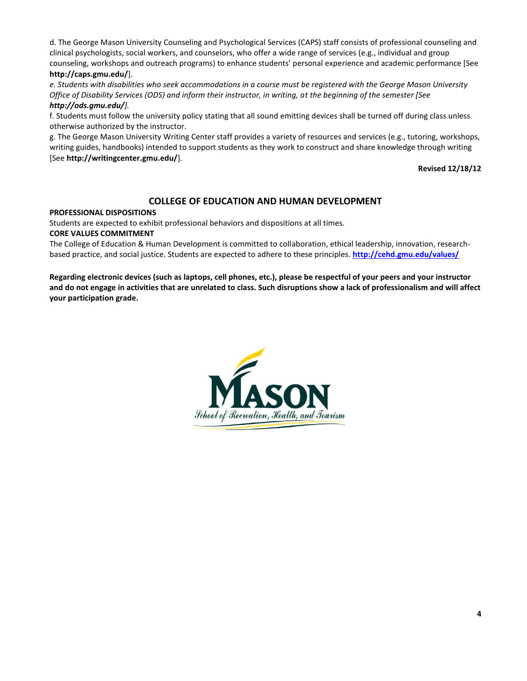d. The George Mason University Counseling and Psychological Services (CAPS) staff consists of professional counseling and clinical psychologists, social workers, and counselors, who offer a wide range of services (e.g., individual and group counseling, workshops and outreach programs) to enhance students' personal experience and academic performance [See **http://caps.gmu.edu/**].

*e. Students with disabilities who seek accommodations in a course must be registered with the George Mason University Office of Disability Services (ODS) and inform their instructor, in writing, at the beginning of the semester [See http://ods.gmu.edu/].*

f. Students must follow the university policy stating that all sound emitting devices shall be turned off during class unless otherwise authorized by the instructor.

g. The George Mason University Writing Center staff provides a variety of resources and services (e.g., tutoring, workshops, writing guides, handbooks) intended to support students as they work to construct and share knowledge through writing [See **http://writingcenter.gmu.edu/**].

**Revised 12/18/12**

## **COLLEGE OF EDUCATION AND HUMAN DEVELOPMENT**

#### **PROFESSIONAL DISPOSITIONS**

Students are expected to exhibit professional behaviors and dispositions at all times.

#### **CORE VALUES COMMITMENT**

The College of Education & Human Development is committed to collaboration, ethical leadership, innovation, researchbased practice, and social justice. Students are expected to adhere to these principles. **<http://cehd.gmu.edu/values/>**

**Regarding electronic devices (such as laptops, cell phones, etc.), please be respectful of your peers and your instructor and do not engage in activities that are unrelated to class. Such disruptions show a lack of professionalism and will affect your participation grade.** 

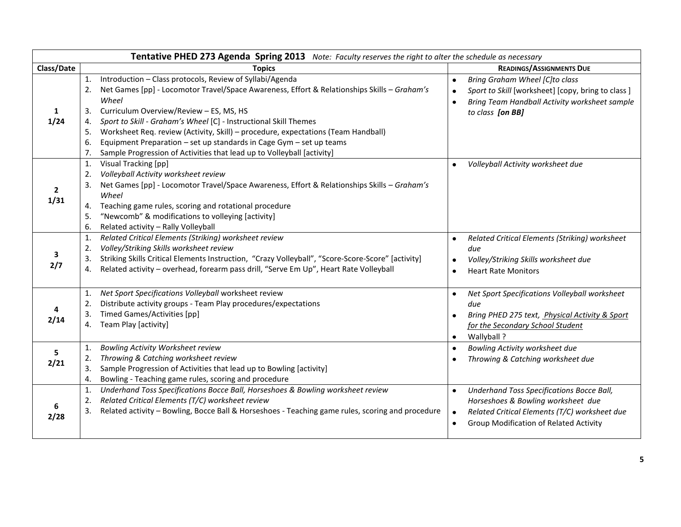| Tentative PHED 273 Agenda Spring 2013 Note: Faculty reserves the right to alter the schedule as necessary |                                                                                                                                                                                                                                                                                                                                                                                                                                                                                                                                                                             |                                                                                                                                                                                                      |  |  |  |
|-----------------------------------------------------------------------------------------------------------|-----------------------------------------------------------------------------------------------------------------------------------------------------------------------------------------------------------------------------------------------------------------------------------------------------------------------------------------------------------------------------------------------------------------------------------------------------------------------------------------------------------------------------------------------------------------------------|------------------------------------------------------------------------------------------------------------------------------------------------------------------------------------------------------|--|--|--|
| Class/Date                                                                                                | <b>Topics</b>                                                                                                                                                                                                                                                                                                                                                                                                                                                                                                                                                               | <b>READINGS/ASSIGNMENTS DUE</b>                                                                                                                                                                      |  |  |  |
| 1<br>1/24                                                                                                 | Introduction - Class protocols, Review of Syllabi/Agenda<br>$\mathbf{1}$ .<br>Net Games [pp] - Locomotor Travel/Space Awareness, Effort & Relationships Skills - Graham's<br>2.<br>Wheel<br>Curriculum Overview/Review - ES, MS, HS<br>3.<br>Sport to Skill - Graham's Wheel [C] - Instructional Skill Themes<br>4.<br>Worksheet Req. review (Activity, Skill) - procedure, expectations (Team Handball)<br>5.<br>Equipment Preparation - set up standards in Cage Gym - set up teams<br>6.<br>Sample Progression of Activities that lead up to Volleyball [activity]<br>7. | Bring Graham Wheel [C]to class<br>$\bullet$<br>Sport to Skill [worksheet] [copy, bring to class ]<br>$\bullet$<br>Bring Team Handball Activity worksheet sample<br>$\bullet$<br>to class [on BB]     |  |  |  |
| $\overline{2}$<br>1/31                                                                                    | Visual Tracking [pp]<br>1.<br>Volleyball Activity worksheet review<br>2.<br>Net Games [pp] - Locomotor Travel/Space Awareness, Effort & Relationships Skills - Graham's<br>3.<br>Wheel<br>Teaching game rules, scoring and rotational procedure<br>4.<br>"Newcomb" & modifications to volleying [activity]<br>5.<br>Related activity - Rally Volleyball<br>6.                                                                                                                                                                                                               | Volleyball Activity worksheet due                                                                                                                                                                    |  |  |  |
| 3<br>2/7                                                                                                  | Related Critical Elements (Striking) worksheet review<br>1.<br>Volley/Striking Skills worksheet review<br>2.<br>Striking Skills Critical Elements Instruction, "Crazy Volleyball", "Score-Score-Score" [activity]<br>3.<br>Related activity - overhead, forearm pass drill, "Serve Em Up", Heart Rate Volleyball<br>4.                                                                                                                                                                                                                                                      | Related Critical Elements (Striking) worksheet<br>$\bullet$<br>due<br>Volley/Striking Skills worksheet due<br><b>Heart Rate Monitors</b>                                                             |  |  |  |
| 2/14                                                                                                      | Net Sport Specifications Volleyball worksheet review<br>1.<br>Distribute activity groups - Team Play procedures/expectations<br>2.<br><b>Timed Games/Activities [pp]</b><br>3.<br>Team Play [activity]<br>4.                                                                                                                                                                                                                                                                                                                                                                | Net Sport Specifications Volleyball worksheet<br>due<br>Bring PHED 275 text, Physical Activity & Sport<br>for the Secondary School Student<br>Wallyball ?<br>$\bullet$                               |  |  |  |
| 5<br>2/21                                                                                                 | Bowling Activity Worksheet review<br>1.<br>Throwing & Catching worksheet review<br>2.<br>Sample Progression of Activities that lead up to Bowling [activity]<br>3.<br>Bowling - Teaching game rules, scoring and procedure<br>4.                                                                                                                                                                                                                                                                                                                                            | Bowling Activity worksheet due<br>$\bullet$<br>Throwing & Catching worksheet due                                                                                                                     |  |  |  |
| 2/28                                                                                                      | Underhand Toss Specifications Bocce Ball, Horseshoes & Bowling worksheet review<br>1.<br>Related Critical Elements (T/C) worksheet review<br>2.<br>Related activity - Bowling, Bocce Ball & Horseshoes - Teaching game rules, scoring and procedure<br>3.                                                                                                                                                                                                                                                                                                                   | Underhand Toss Specifications Bocce Ball,<br>$\bullet$<br>Horseshoes & Bowling worksheet due<br>Related Critical Elements (T/C) worksheet due<br>$\bullet$<br>Group Modification of Related Activity |  |  |  |